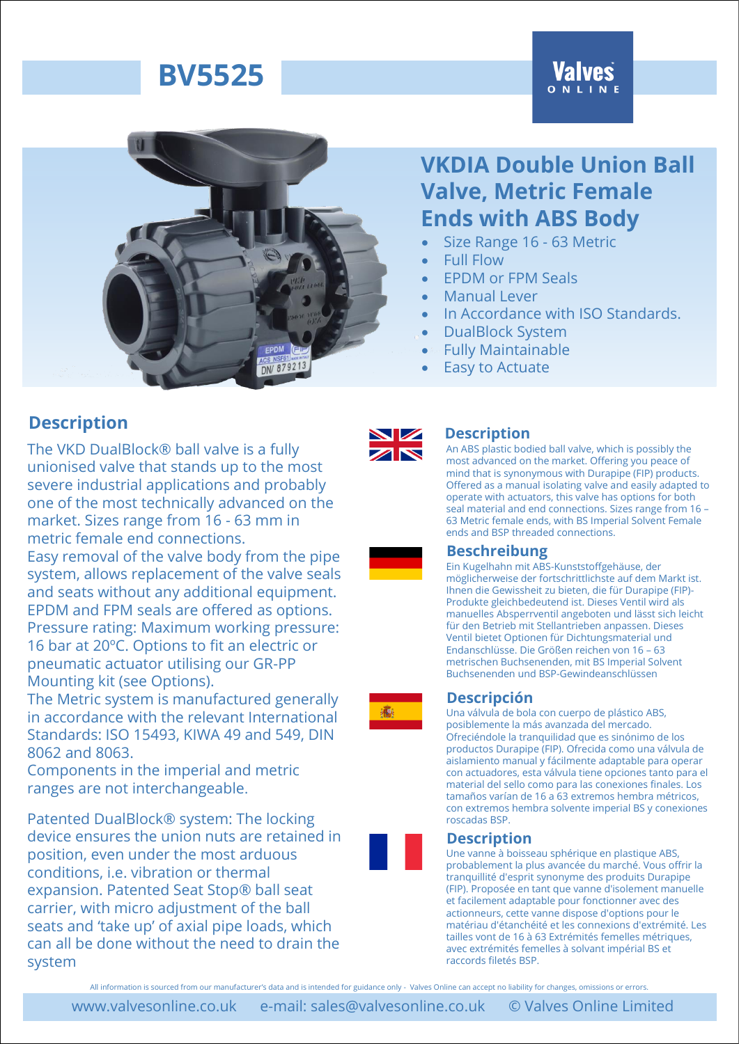# **Valves**



## **VKDIA Double Union Ball Valve, Metric Female Ends with ABS Body**

- Size Range 16 63 Metric
	- Full Flow
- EPDM or FPM Seals
- Manual Lever
- In Accordance with ISO Standards.
- DualBlock System
- Fully Maintainable
- **Easy to Actuate**

## **Description**

The VKD DualBlock® ball valve is a fully unionised valve that stands up to the most severe industrial applications and probably one of the most technically advanced on the market. Sizes range from 16 - 63 mm in metric female end connections.

Easy removal of the valve body from the pipe system, allows replacement of the valve seals and seats without any additional equipment. EPDM and FPM seals are offered as options. Pressure rating: Maximum working pressure: 16 bar at 20ºC. Options to fit an electric or pneumatic actuator utilising our GR-PP Mounting kit (see Options).

The Metric system is manufactured generally in accordance with the relevant International Standards: ISO 15493, KIWA 49 and 549, DIN 8062 and 8063.

Components in the imperial and metric ranges are not interchangeable.

Patented DualBlock® system: The locking device ensures the union nuts are retained in position, even under the most arduous conditions, i.e. vibration or thermal expansion. Patented Seat Stop® ball seat carrier, with micro adjustment of the ball seats and 'take up' of axial pipe loads, which can all be done without the need to drain the system



### **Description**

An ABS plastic bodied ball valve, which is possibly the most advanced on the market. Offering you peace of mind that is synonymous with Durapipe (FIP) products. Offered as a manual isolating valve and easily adapted to operate with actuators, this valve has options for both seal material and end connections. Sizes range from 16 – 63 Metric female ends, with BS Imperial Solvent Female ends and BSP threaded connections.

### **Beschreibung**

Ein Kugelhahn mit ABS-Kunststoffgehäuse, der möglicherweise der fortschrittlichste auf dem Markt ist. Ihnen die Gewissheit zu bieten, die für Durapipe (FIP)- Produkte gleichbedeutend ist. Dieses Ventil wird als manuelles Absperrventil angeboten und lässt sich leicht für den Betrieb mit Stellantrieben anpassen. Dieses Ventil bietet Optionen für Dichtungsmaterial und Endanschlüsse. Die Größen reichen von 16 – 63 metrischen Buchsenenden, mit BS Imperial Solvent Buchsenenden und BSP-Gewindeanschlüssen

### **Descripción**

Una válvula de bola con cuerpo de plástico ABS, posiblemente la más avanzada del mercado. Ofreciéndole la tranquilidad que es sinónimo de los productos Durapipe (FIP). Ofrecida como una válvula de aislamiento manual y fácilmente adaptable para operar con actuadores, esta válvula tiene opciones tanto para el material del sello como para las conexiones finales. Los tamaños varían de 16 a 63 extremos hembra métricos, con extremos hembra solvente imperial BS y conexiones roscadas BSP.

### **Description**

Une vanne à boisseau sphérique en plastique ABS, probablement la plus avancée du marché. Vous offrir la tranquillité d'esprit synonyme des produits Durapipe (FIP). Proposée en tant que vanne d'isolement manuelle et facilement adaptable pour fonctionner avec des actionneurs, cette vanne dispose d'options pour le matériau d'étanchéité et les connexions d'extrémité. Les tailles vont de 16 à 63 Extrémités femelles métriques, avec extrémités femelles à solvant impérial BS et raccords filetés BSP.

All information is sourced from our manufacturer's data and is intended for guidance only - Valves Online can accept no liability for changes, omissions or errors.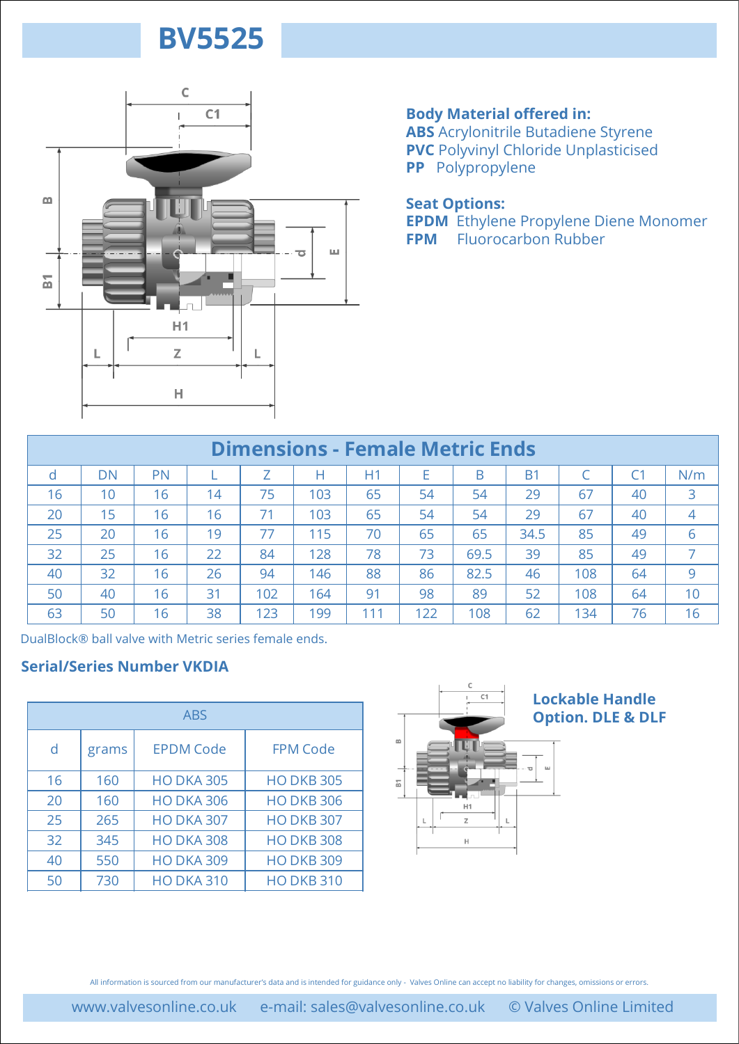

### **Body Material offered in:**

**ABS** Acrylonitrile Butadiene Styrene **PVC** Polyvinyl Chloride Unplasticised **PP** Polypropylene

## **Seat Options:**

**EPDM** Ethylene Propylene Diene Monomer **FPM** Fluorocarbon Rubber

|                                        |                                                                                                                                                                     | н         |                   |     |                   |     |                          |             |           |                              |    |                |
|----------------------------------------|---------------------------------------------------------------------------------------------------------------------------------------------------------------------|-----------|-------------------|-----|-------------------|-----|--------------------------|-------------|-----------|------------------------------|----|----------------|
| <b>Dimensions - Female Metric Ends</b> |                                                                                                                                                                     |           |                   |     |                   |     |                          |             |           |                              |    |                |
| d                                      | <b>DN</b>                                                                                                                                                           | <b>PN</b> | T.                | Z   | Н                 | H1  | Е                        | B           | <b>B1</b> | C                            | C1 | N/m            |
| 16                                     | 10                                                                                                                                                                  | 16        | 14                | 75  | 103               | 65  | 54                       | 54          | 29        | 67                           | 40 | 3              |
| 20                                     | 15                                                                                                                                                                  | 16        | 16                | 71  | 103               | 65  | 54                       | 54          | 29        | 67                           | 40 | $\overline{4}$ |
| 25                                     | 20                                                                                                                                                                  | 16        | 19                | 77  | 115               | 70  | 65                       | 65          | 34.5      | 85                           | 49 | 6              |
| 32                                     | 25                                                                                                                                                                  | 16        | 22                | 84  | 128               | 78  | 73                       | 69.5        | 39        | 85                           | 49 | $\overline{7}$ |
| 40                                     | 32                                                                                                                                                                  | 16        | 26                | 94  | 146               | 88  | 86                       | 82.5        | 46        | 108                          | 64 | 9              |
| 50                                     | 40                                                                                                                                                                  | 16        | 31                | 102 | 164               | 91  | 98                       | 89          | 52        | 108                          | 64 | 10             |
| 63                                     | 50                                                                                                                                                                  | 16        | 38                | 123 | 199               | 111 | 122                      | 108         | 62        | 134                          | 76 | 16             |
|                                        |                                                                                                                                                                     |           | <b>ABS</b>        |     |                   |     |                          |             |           | <b>Option. DLE &amp; DLF</b> |    |                |
|                                        |                                                                                                                                                                     |           |                   |     |                   |     |                          | C<br>C1     |           | <b>Lockable Handle</b>       |    |                |
| d                                      | grams                                                                                                                                                               |           | <b>EPDM Code</b>  |     | <b>FPM Code</b>   |     | $\underline{\mathrm{m}}$ |             |           |                              |    |                |
|                                        |                                                                                                                                                                     |           |                   |     |                   |     |                          |             | ш         |                              |    |                |
| 16                                     | 160                                                                                                                                                                 |           | <b>HO DKA 305</b> |     | <b>HO DKB 305</b> |     | 둡                        |             |           |                              |    |                |
| 20                                     | 160                                                                                                                                                                 |           | <b>HO DKA 306</b> |     | <b>HO DKB 306</b> |     |                          | H1          |           |                              |    |                |
| 25                                     | 265                                                                                                                                                                 |           | <b>HO DKA 307</b> |     | <b>HO DKB 307</b> |     |                          | $\mathbb Z$ | Г         |                              |    |                |
| 32                                     | 345                                                                                                                                                                 |           | <b>HO DKA 308</b> |     | <b>HO DKB 308</b> |     |                          | Н           |           |                              |    |                |
| 40                                     | 550                                                                                                                                                                 |           | <b>HO DKA 309</b> |     | <b>HO DKB 309</b> |     |                          |             |           |                              |    |                |
| 50                                     | 730                                                                                                                                                                 |           | <b>HO DKA 310</b> |     | <b>HO DKB 310</b> |     |                          |             |           |                              |    |                |
|                                        | All information is sourced from our manufacturer's data and is intended for guidance only - Valves Online can accept no liability for changes, omissions or errors. |           |                   |     |                   |     |                          |             |           |                              |    |                |

### **Serial/Series Number VKDIA**

| <b>ABS</b> |       |                   |                   |  |  |  |  |  |
|------------|-------|-------------------|-------------------|--|--|--|--|--|
| d          | grams | <b>EPDM Code</b>  | <b>FPM Code</b>   |  |  |  |  |  |
| 16         | 160   | <b>HO DKA 305</b> | <b>HO DKB 305</b> |  |  |  |  |  |
| 20         | 160   | <b>HO DKA 306</b> | <b>HO DKB 306</b> |  |  |  |  |  |
| 25         | 265   | <b>HO DKA 307</b> | <b>HO DKB 307</b> |  |  |  |  |  |
| 32         | 345   | <b>HO DKA 308</b> | <b>HO DKB 308</b> |  |  |  |  |  |
| 40         | 550   | <b>HO DKA 309</b> | <b>HO DKB 309</b> |  |  |  |  |  |
| 50         | 730   | <b>HO DKA 310</b> | <b>HO DKB 310</b> |  |  |  |  |  |



### **Lockable Handle Option. DLE & DLF**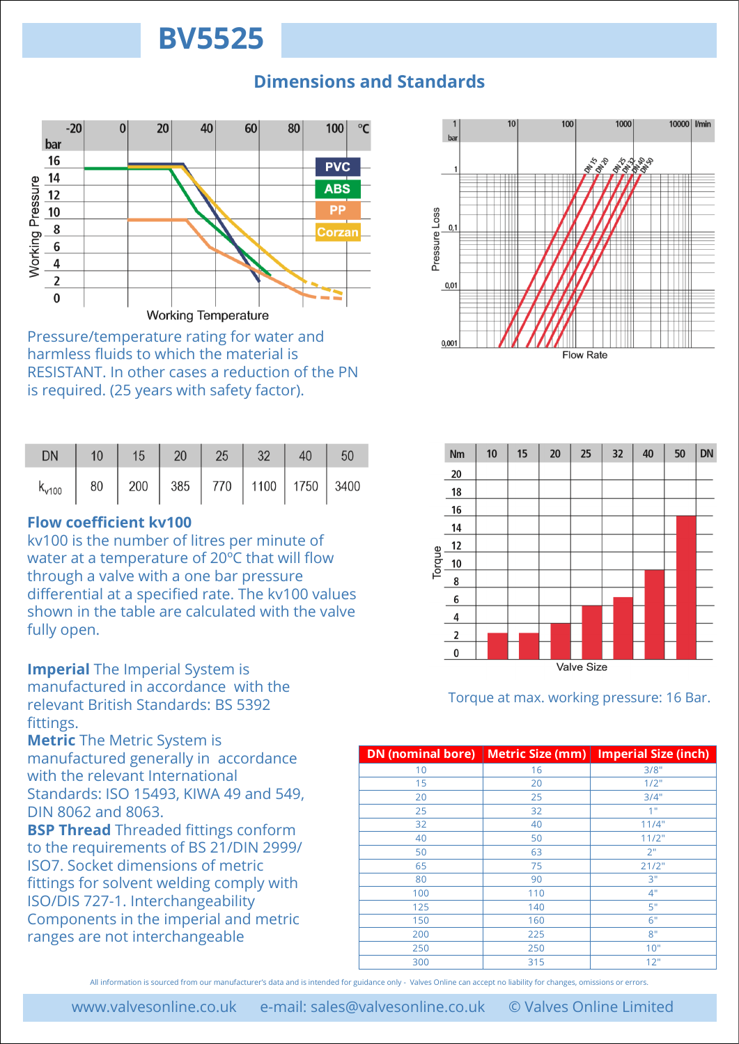## **Dimensions and Standards**



Pressure/temperature rating for water and harmless fluids to which the material is RESISTANT. In other cases a reduction of the PN is required. (25 years with safety factor).

| <b>DN</b>                                              | $10 \mid 15 \mid 20 \mid 25 \mid 32 \mid 40 \mid 50$ |  |  |  |
|--------------------------------------------------------|------------------------------------------------------|--|--|--|
| $k_{v100}$   80   200   385   770   1100   1750   3400 |                                                      |  |  |  |

## **Flow coefficient kv100**

kv100 is the number of litres per minute of water at a temperature of 20ºC that will flow through a valve with a one bar pressure differential at a specified rate. The kv100 values shown in the table are calculated with the valve fully open.

**Imperial** The Imperial System is manufactured in accordance with the relevant British Standards: BS 5392 fittings.

**Metric** The Metric System is manufactured generally in accordance with the relevant International Standards: ISO 15493, KIWA 49 and 549, DIN 8062 and 8063.

**BSP Thread** Threaded fittings conform to the requirements of BS 21/DIN 2999/ ISO7. Socket dimensions of metric fittings for solvent welding comply with ISO/DIS 727-1. Interchangeability Components in the imperial and metric ranges are not interchangeable





Torque at max. working pressure: 16 Bar.

| <b>DN</b> (nominal bore) | <b>Metric Size (mm)</b> | <b>Imperial Size (inch)</b> |
|--------------------------|-------------------------|-----------------------------|
| 10                       | 16                      | 3/8"                        |
| 15                       | 20                      | 1/2"                        |
| 20                       | 25                      | 3/4"                        |
| 25                       | 32                      | 1 <sup>0</sup>              |
| 32                       | 40                      | 11/4"                       |
| 40                       | 50                      | 11/2"                       |
| 50                       | 63                      | 2"                          |
| 65                       | 75                      | 21/2"                       |
| 80                       | 90                      | 3"                          |
| 100                      | 110                     | 4"                          |
| 125                      | 140                     | 5"                          |
| 150                      | 160                     | 6"                          |
| 200                      | 225                     | 8"                          |
| 250                      | 250                     | 10"                         |
| 300                      | 315                     | 12"                         |

All information is sourced from our manufacturer's data and is intended for guidance only - Valves Online can accept no liability for changes, omissions or errors.